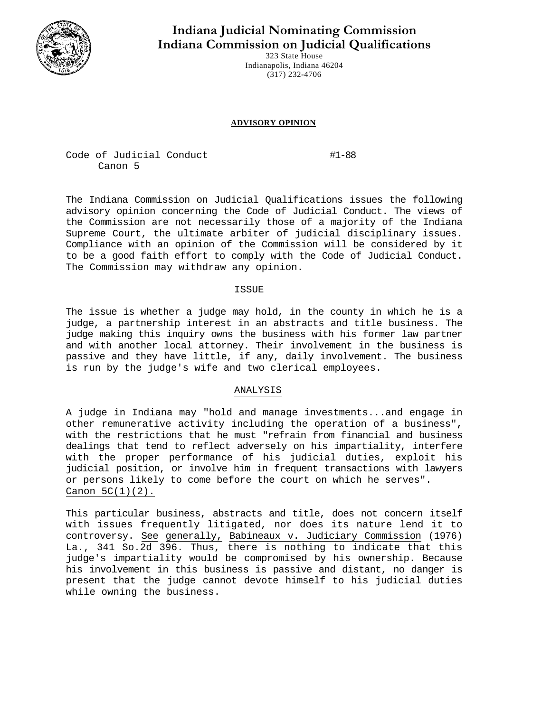

# **Indiana Judicial Nominating Commission Indiana Commission on Judicial Qualifications**

323 State House Indianapolis, Indiana 46204 (317) 232-4706

#### **ADVISORY OPINION**

Code of Judicial Conduct #1-88 Canon 5

The Indiana Commission on Judicial Qualifications issues the following advisory opinion concerning the Code of Judicial Conduct. The views of the Commission are not necessarily those of a majority of the Indiana Supreme Court, the ultimate arbiter of judicial disciplinary issues. Compliance with an opinion of the Commission will be considered by it to be a good faith effort to comply with the Code of Judicial Conduct. The Commission may withdraw any opinion.

## ISSUE

The issue is whether a judge may hold, in the county in which he is a judge, a partnership interest in an abstracts and title business. The judge making this inquiry owns the business with his former law partner and with another local attorney. Their involvement in the business is passive and they have little, if any, daily involvement. The business is run by the judge's wife and two clerical employees.

## ANALYSIS

A judge in Indiana may "hold and manage investments...and engage in other remunerative activity including the operation of a business", with the restrictions that he must "refrain from financial and business dealings that tend to reflect adversely on his impartiality, interfere with the proper performance of his judicial duties, exploit his judicial position, or involve him in frequent transactions with lawyers or persons likely to come before the court on which he serves". Canon  $5C(1)(2)$ .

This particular business, abstracts and title, does not concern itself with issues frequently litigated, nor does its nature lend it to controversy. See generally, Babineaux v. Judiciary Commission (1976) La., 341 So.2d 396. Thus, there is nothing to indicate that this judge's impartiality would be compromised by his ownership. Because his involvement in this business is passive and distant, no danger is present that the judge cannot devote himself to his judicial duties while owning the business.